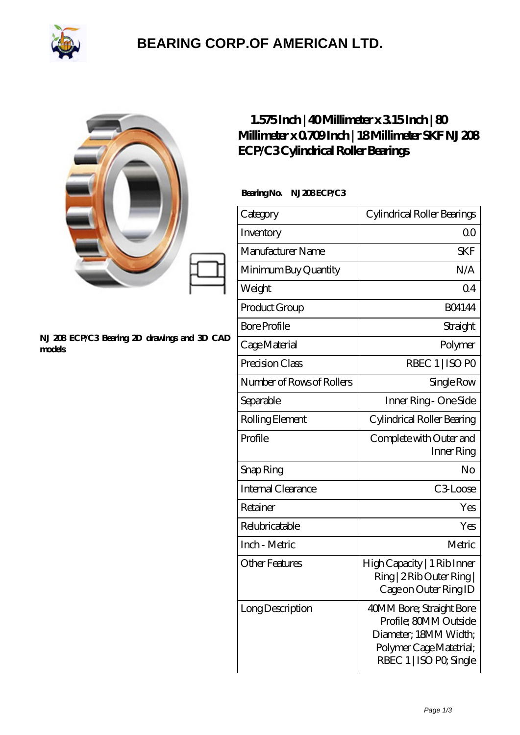

## **[BEARING CORP.OF AMERICAN LTD.](https://2urt-utz.de)**

|                                                        | $1.575$ Inch   40Millimeter x 315Inch   80<br>Millimeter x 0709Inch   18Millimeter SKF NJ208<br>ECP/C3Cylindrical Roller Bearings |                                                                                                                                  |
|--------------------------------------------------------|-----------------------------------------------------------------------------------------------------------------------------------|----------------------------------------------------------------------------------------------------------------------------------|
|                                                        | BearingNo.<br>NJ208ECP/C3                                                                                                         |                                                                                                                                  |
|                                                        | Category                                                                                                                          | Cylindrical Roller Bearings                                                                                                      |
|                                                        | Inventory                                                                                                                         | 0 <sup>0</sup>                                                                                                                   |
| NJ 208 ECP/C3 Bearing 2D drawings and 3D CAD<br>models | Manufacturer Name                                                                                                                 | <b>SKF</b>                                                                                                                       |
|                                                        | Minimum Buy Quantity                                                                                                              | N/A                                                                                                                              |
|                                                        | Weight                                                                                                                            | Q <sub>4</sub>                                                                                                                   |
|                                                        | Product Group                                                                                                                     | <b>BO4144</b>                                                                                                                    |
|                                                        | <b>Bore Profile</b>                                                                                                               | Straight                                                                                                                         |
|                                                        | Cage Material                                                                                                                     | Polymer                                                                                                                          |
|                                                        | Precision Class                                                                                                                   | RBEC 1   ISO PO                                                                                                                  |
|                                                        | Number of Rows of Rollers                                                                                                         | Single Row                                                                                                                       |
|                                                        | Separable                                                                                                                         | Inner Ring - One Side                                                                                                            |
|                                                        | Rolling Element                                                                                                                   | Cylindrical Roller Bearing                                                                                                       |
|                                                        | Profile                                                                                                                           | Complete with Outer and<br>Inner Ring                                                                                            |
|                                                        | Snap Ring                                                                                                                         | N <sub>o</sub>                                                                                                                   |
|                                                        | Internal Clearance                                                                                                                | C3Loose                                                                                                                          |
|                                                        | Retainer                                                                                                                          | Yes                                                                                                                              |
|                                                        | Relubricatable                                                                                                                    | Yes                                                                                                                              |
|                                                        | Inch - Metric                                                                                                                     | Metric                                                                                                                           |
|                                                        | <b>Other Features</b>                                                                                                             | High Capacity   1 Rib Inner<br>Ring   2 Rib Outer Ring  <br>Cage on Outer Ring ID                                                |
|                                                        | Long Description                                                                                                                  | 40MM Bore; Straight Bore<br>Profile; 80MM Outside<br>Diameter; 18MM Width;<br>Polymer Cage Matetrial;<br>RBEC 1   ISO PO, Single |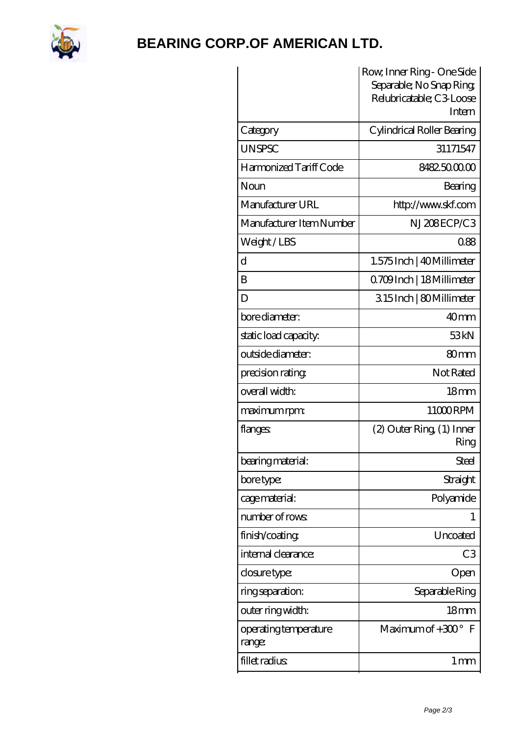

## **[BEARING CORP.OF AMERICAN LTD.](https://2urt-utz.de)**

|                                 | Row, Inner Ring - One Side<br>Separable; No Snap Ring;<br>Relubricatable; C3 Loose<br>Intern |
|---------------------------------|----------------------------------------------------------------------------------------------|
| Category                        | Cylindrical Roller Bearing                                                                   |
| <b>UNSPSC</b>                   | 31171547                                                                                     |
| Harmonized Tariff Code          | 8482500000                                                                                   |
| Noun                            | Bearing                                                                                      |
| Manufacturer URL                | http://www.skf.com                                                                           |
| Manufacturer Item Number        | NJ208ECP/C3                                                                                  |
| Weight/LBS                      | 088                                                                                          |
| d                               | 1.575 Inch   40 Millimeter                                                                   |
| B                               | Q709Inch   18Millimeter                                                                      |
| D                               | 315Inch   80Millimeter                                                                       |
| bore diameter:                  | 40 <sub>mm</sub>                                                                             |
| static load capacity.           | 53 <sub>kN</sub>                                                                             |
| outside diameter:               | 80 <sub>mm</sub>                                                                             |
| precision rating                | Not Rated                                                                                    |
| overall width:                  | 18 <sub>mm</sub>                                                                             |
| maximum rpm:                    | 11000RPM                                                                                     |
| flanges:                        | $(2)$ Outer Ring $(1)$ Inner<br>Ring                                                         |
| bearing material:               | Steel                                                                                        |
| bore type:                      | Straight                                                                                     |
| cage material:                  | Polyamide                                                                                    |
| number of rows:                 | 1                                                                                            |
| finish/coating                  | Uncoated                                                                                     |
| internal clearance:             | C <sub>3</sub>                                                                               |
| closure type:                   | Open                                                                                         |
| ring separation:                | Separable Ring                                                                               |
| outer ring width:               | 18 <sub>mm</sub>                                                                             |
| operating temperature<br>range: | Maximum of $+30^\circ$<br>$\overline{F}$                                                     |
| fillet radius                   | 1 <sub>mm</sub>                                                                              |